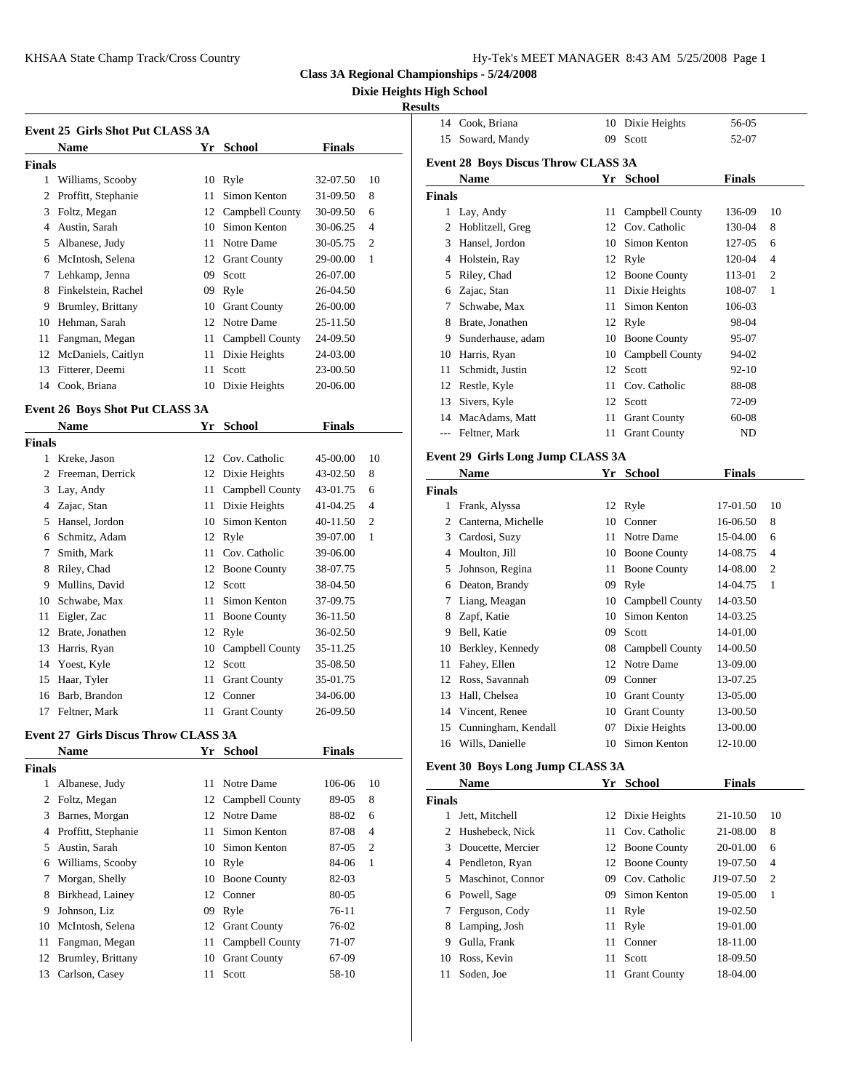**Class 3A Regional Championships - 5/24/2008**

**Dixie Heights High School**

## **Results**

|                     |        |                                  |                                                                                                           |                | 14            | Cook.        |
|---------------------|--------|----------------------------------|-----------------------------------------------------------------------------------------------------------|----------------|---------------|--------------|
| <b>Name</b>         |        | <b>School</b>                    | <b>Finals</b>                                                                                             |                | 15            | Sowa         |
|                     |        |                                  |                                                                                                           |                | Event 28 B    |              |
| Williams, Scooby    |        |                                  | 32-07.50                                                                                                  | 10             |               | <b>Nam</b>   |
| Proffitt, Stephanie | 11     | Simon Kenton                     | 31-09.50                                                                                                  | 8              | <b>Finals</b> |              |
| Foltz, Megan        |        |                                  | 30-09.50                                                                                                  | 6              |               | Lay, $\iota$ |
| Austin, Sarah       | 10     | Simon Kenton                     | 30-06.25                                                                                                  | $\overline{4}$ | 2             | Hobli        |
| Albanese, Judy      | 11     | Notre Dame                       | 30-05.75                                                                                                  | $\overline{c}$ | 3             | Hanse        |
| McIntosh, Selena    |        | <b>Grant County</b>              | 29-00.00                                                                                                  | 1              | 4             | Holst        |
| Lehkamp, Jenna      | 09     | Scott                            | 26-07.00                                                                                                  |                | 5             | Riley,       |
| Finkelstein, Rachel |        |                                  | 26-04.50                                                                                                  |                | 6             | Zajac        |
| Brumley, Brittany   |        |                                  | 26-00.00                                                                                                  |                |               | Schw         |
| Hehman, Sarah       |        |                                  | 25-11.50                                                                                                  |                | 8             | Brate.       |
| Fangman, Megan      | 11     | Campbell County                  | 24-09.50                                                                                                  |                | 9             | Sunde        |
| McDaniels, Caitlyn  | 11     |                                  | 24-03.00                                                                                                  |                | 10            | Harris       |
| Fitterer, Deemi     | 11     | Scott                            | 23-00.50                                                                                                  |                | 11            | Schm         |
| Cook, Briana        | 10     | Dixie Heights                    | 20-06.00                                                                                                  |                | 12            | Restle       |
|                     | Finals | Event 25 Girls Shot Put CLASS 3A | Yr<br>10 Ryle<br>12 Campbell County<br>12<br>09 Ryle<br>10 Grant County<br>12 Notre Dame<br>Dixie Heights |                |               |              |

# **Event 26 Boys Shot Put CLASS 3A**<br>Name **We School**

|        | <b>Name</b>        | Yr School          | <b>Finals</b> |     |               |                                   |    |                    |               |                 |
|--------|--------------------|--------------------|---------------|-----|---------------|-----------------------------------|----|--------------------|---------------|-----------------|
| Finals |                    |                    |               |     |               | --- Feltner, Mark                 |    | 11 Grant County    | ND            |                 |
|        | 1 Kreke, Jason     | 12 Cov. Catholic   | 45-00.00      | -10 |               | Event 29 Girls Long Jump CLASS 3A |    |                    |               |                 |
|        | 2 Freeman, Derrick | 12 Dixie Heights   | 43-02.50      | 8   |               | <b>Name</b>                       |    | Yr School          | <b>Finals</b> |                 |
|        | 3 Lay, Andy        | 11 Campbell County | 43-01.75      | -6  | <b>Finals</b> |                                   |    |                    |               |                 |
|        | 4 Zajac, Stan      | 11 Dixie Heights   | 41-04.25      | 4   |               | 1 Frank, Alyssa                   |    | 12 Ryle            | 17-01.50      | -10             |
|        | 5 Hansel, Jordon   | 10 Simon Kenton    | 40-11.50      | 2   |               | 2 Canterna, Michelle              |    | 10 Conner          | 16-06.50      | -8              |
|        | 6 Schmitz, Adam    | 12 Ryle            | 39-07.00      |     |               | 3 Cardosi, Suzy                   |    | 11 Notre Dame      | 15-04.00      | $6\overline{6}$ |
|        | 7 Smith, Mark      | 11 Cov. Catholic   | 39-06.00      |     |               | 4 Moulton, Jill                   |    | 10 Boone County    | 14-08.75      | -4              |
|        | 8 Riley, Chad      | 12 Boone County    | 38-07.75      |     |               | 5 Johnson, Regina                 |    | 11 Boone County    | 14-08.00 2    |                 |
|        | 9 Mullins, David   | 12 Scott           | 38-04.50      |     |               | 6 Deaton, Brandy                  |    | 09 Ryle            | 14-04.75      |                 |
|        | 10 Schwabe, Max    | 11 Simon Kenton    | 37-09.75      |     |               | 7 Liang, Meagan                   |    | 10 Campbell County | 14-03.50      |                 |
|        | 11 Eigler, Zac     | 11 Boone County    | 36-11.50      |     |               | 8 Zapf, Katie                     |    | 10 Simon Kenton    | 14-03.25      |                 |
|        | Brate, Jonathen    | 12 Ryle            | 36-02.50      |     |               | 9 Bell, Katie                     | 09 | Scott              | 14-01.00      |                 |
| 13     | Harris, Ryan       | 10 Campbell County | 35-11.25      |     |               | 10 Berkley, Kennedy               |    | 08 Campbell County | 14-00.50      |                 |
|        | 14 Yoest, Kyle     | 12 Scott           | 35-08.50      |     |               | 11 Fahey, Ellen                   |    | 12 Notre Dame      | 13-09.00      |                 |
|        | 15 Haar, Tyler     | 11 Grant County    | 35-01.75      |     |               | 12 Ross, Savannah                 |    | 09 Conner          | 13-07.25      |                 |
|        | 16 Barb, Brandon   | 12 Conner          | 34-06.00      |     |               | 13 Hall, Chelsea                  |    | 10 Grant County    | 13-05.00      |                 |
|        | Feltner, Mark      | 11 Grant County    | 26-09.50      |     |               | 14 Vincent, Renee                 |    | 10 Grant County    | 13-00.50      |                 |

# **Event 27 Girls Discus Throw CLASS 3A**

|        | <b>Name</b>           | Yr | <b>School</b>       | <b>Finals</b> |                |               |            |
|--------|-----------------------|----|---------------------|---------------|----------------|---------------|------------|
| Finals |                       |    |                     |               |                | Event 30 B    |            |
| 1      | Albanese, Judy        |    | 11 Notre Dame       | 106-06        | 10             |               | <b>Nam</b> |
|        | 2 Foltz, Megan        |    | 12 Campbell County  | 89-05         | 8              | <b>Finals</b> |            |
| 3      | Barnes, Morgan        |    | 12 Notre Dame       | 88-02         | 6              | 1             | Jett, N    |
|        | 4 Proffitt, Stephanie | 11 | Simon Kenton        | 87-08         | $\overline{4}$ | 2.            | Hushe      |
| 5.     | Austin, Sarah         |    | 10 Simon Kenton     | 87-05         | $\overline{c}$ | $\mathcal{E}$ | Douce      |
| 6      | Williams, Scooby      |    | 10 Ryle             | 84-06         | 1              | 4             | Pendl      |
|        | Morgan, Shelly        |    | 10 Boone County     | $82 - 03$     |                | 5.            | Mascl      |
| 8      | Birkhead, Lainey      |    | 12 Conner           | 80-05         |                | 6             | Powe       |
| 9      | Johnson, Liz          |    | 09 Ryle             | $76-11$       |                | 7             | Fergu      |
| 10     | McIntosh, Selena      | 12 | <b>Grant County</b> | 76-02         |                | 8             | Lamp       |
| 11     | Fangman, Megan        |    | 11 Campbell County  | 71-07         |                | 9             | Gulla      |
| 12     | Brumley, Brittany     | 10 | <b>Grant County</b> | 67-09         |                | 10            | Ross,      |
| 13     | Carlson, Casey        | 11 | Scott               | 58-10         |                | 11            | Soder      |
|        |                       |    |                     |               |                |               |            |

| 14            | Cook, Briana                               | 10 | Dixie Heights       | 56-05         |                |
|---------------|--------------------------------------------|----|---------------------|---------------|----------------|
| 15            | Soward, Mandy                              | 09 | Scott               | 52-07         |                |
|               | <b>Event 28 Boys Discus Throw CLASS 3A</b> |    |                     |               |                |
|               | <b>Name</b>                                |    | Yr School           | <b>Finals</b> |                |
| <b>Finals</b> |                                            |    |                     |               |                |
|               | Lay, Andy                                  | 11 | Campbell County     | 136-09        | 10             |
| 2             | Hoblitzell, Greg                           | 12 | Cov. Catholic       | 130-04        | 8              |
| 3             | Hansel, Jordon                             | 10 | Simon Kenton        | 127-05        | 6              |
| 4             | Holstein, Ray                              | 12 | Ryle                | 120-04        | $\overline{4}$ |
| 5             | Riley, Chad                                | 12 | <b>Boone County</b> | 113-01        | $\overline{c}$ |
| 6             | Zajac, Stan                                | 11 | Dixie Heights       | 108-07        | 1              |
| 7             | Schwabe, Max                               | 11 | Simon Kenton        | 106-03        |                |
| 8             | Brate, Jonathen                            | 12 | Ryle                | 98-04         |                |
| 9             | Sunderhause, adam                          | 10 | <b>Boone County</b> | 95-07         |                |
| 10            | Harris, Ryan                               | 10 | Campbell County     | 94-02         |                |
| 11            | Schmidt, Justin                            | 12 | Scott               | $92 - 10$     |                |
| 12            | Restle, Kyle                               | 11 | Cov. Catholic       | 88-08         |                |
| 13            | Sivers, Kyle                               | 12 | Scott               | 72-09         |                |
| 14            | MacAdams, Matt                             | 11 | <b>Grant County</b> | $60 - 08$     |                |
|               | Feltner, Mark                              | 11 | <b>Grant County</b> | ND            |                |
|               |                                            |    |                     |               |                |

|        | Name                | Yr | <b>School</b>       | Finals   |                |
|--------|---------------------|----|---------------------|----------|----------------|
| Finals |                     |    |                     |          |                |
|        | Frank, Alyssa       |    | 12 Ryle             | 17-01.50 | 10             |
| 2      | Canterna, Michelle  | 10 | Conner              | 16-06.50 | 8              |
| 3      | Cardosi, Suzy       | 11 | Notre Dame          | 15-04.00 | 6              |
| 4      | Moulton, Jill       | 10 | <b>Boone County</b> | 14-08.75 | $\overline{4}$ |
| 5      | Johnson, Regina     | 11 | <b>Boone County</b> | 14-08.00 | $\overline{c}$ |
| 6      | Deaton, Brandy      | 09 | Ryle                | 14-04.75 | 1              |
| 7      | Liang, Meagan       | 10 | Campbell County     | 14-03.50 |                |
| 8      | Zapf, Katie         | 10 | Simon Kenton        | 14-03.25 |                |
| 9      | Bell, Katie         | 09 | Scott               | 14-01.00 |                |
| 10     | Berkley, Kennedy    | 08 | Campbell County     | 14-00.50 |                |
| 11     | Fahey, Ellen        | 12 | Notre Dame          | 13-09.00 |                |
| 12     | Ross, Savannah      | 09 | Conner              | 13-07.25 |                |
| 13     | Hall, Chelsea       | 10 | <b>Grant County</b> | 13-05.00 |                |
| 14     | Vincent, Renee      | 10 | <b>Grant County</b> | 13-00.50 |                |
| 15     | Cunningham, Kendall | 07 | Dixie Heights       | 13-00.00 |                |
| 16     | Wills, Danielle     | 10 | Simon Kenton        | 12-10.00 |                |

# **Event 30 Boys Long Jump CLASS 3A**

|        | <b>Name</b>         |     | Yr School           | <b>Finals</b> |                |
|--------|---------------------|-----|---------------------|---------------|----------------|
| Finals |                     |     |                     |               |                |
|        | Jett, Mitchell      |     | 12 Dixie Heights    | 21-10.50      | 10             |
|        | 2 Hushebeck, Nick   |     | 11 Cov. Catholic    | 21-08.00      | 8              |
|        | 3 Doucette, Mercier |     | 12 Boone County     | 20-01.00      | 6              |
|        | 4 Pendleton, Ryan   |     | 12 Boone County     | 19-07.50      | $\overline{4}$ |
|        | 5 Maschinot, Connor | 09  | Cov. Catholic       | J19-07.50     | $\overline{2}$ |
|        | 6 Powell, Sage      | 09  | Simon Kenton        | 19-05.00      | 1              |
|        | 7 Ferguson, Cody    |     | 11 Ryle             | 19-02.50      |                |
|        | 8 Lamping, Josh     |     | 11 Ryle             | 19-01.00      |                |
| 9      | Gulla, Frank        | 11. | Conner              | 18-11.00      |                |
| 10     | Ross, Kevin         | 11  | Scott               | 18-09.50      |                |
| 11     | Soden, Joe          | 11  | <b>Grant County</b> | 18-04.00      |                |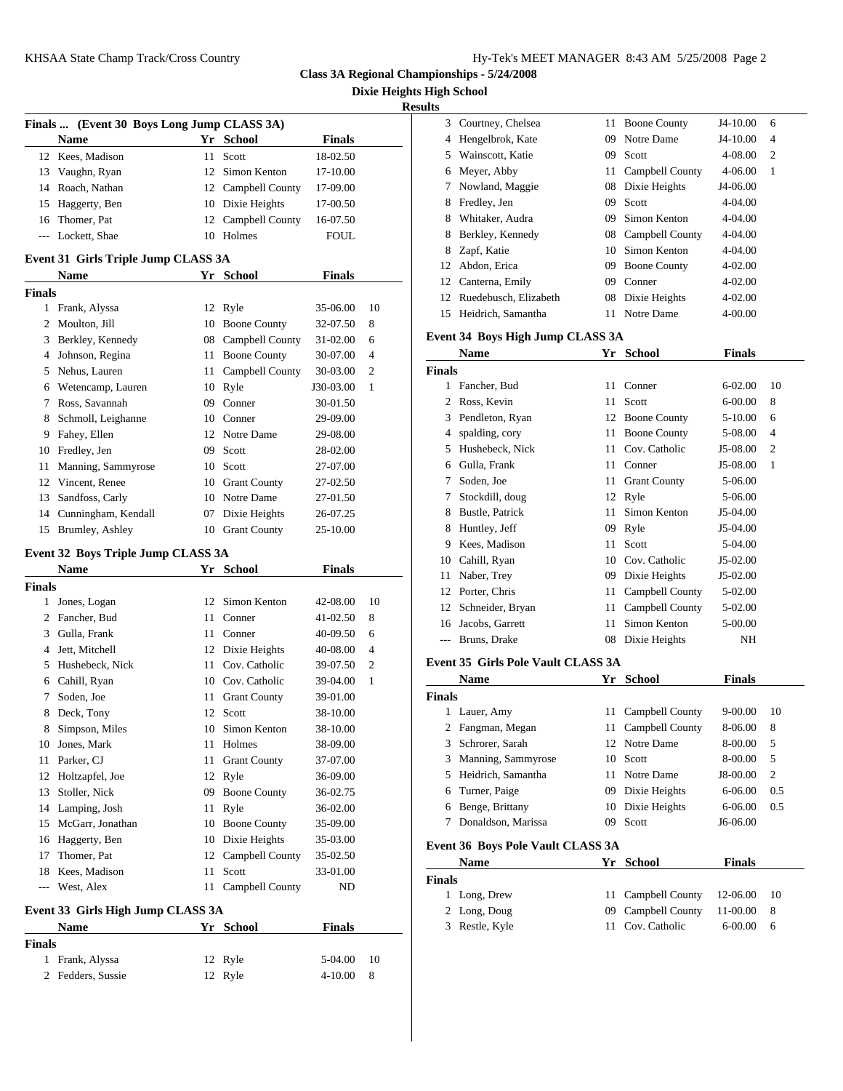**Class 3A Regional Championships - 5/24/2008**

**Dixie Heights High School**

**Results**

|               |                                            |    |                                     |                      |                | <b>Results</b> |                                           |     |                     |               |     |
|---------------|--------------------------------------------|----|-------------------------------------|----------------------|----------------|----------------|-------------------------------------------|-----|---------------------|---------------|-----|
|               | Finals  (Event 30 Boys Long Jump CLASS 3A) |    |                                     |                      |                | 3              | Courtney, Chelsea                         |     | 11 Boone County     | J4-10.00      | 6   |
|               | <b>Name</b>                                |    | Yr School                           | <b>Finals</b>        |                | 4              | Hengelbrok, Kate                          | 09  | Notre Dame          | J4-10.00      | 4   |
|               | 12 Kees, Madison                           |    | 11 Scott                            | 18-02.50             |                | 5              | Wainscott, Katie                          | 09  | Scott               | 4-08.00       | 2   |
| 13            | Vaughn, Ryan                               |    | 12 Simon Kenton                     | 17-10.00             |                | 6              | Meyer, Abby                               | 11  | Campbell County     | 4-06.00       | 1   |
| 14            | Roach, Nathan                              |    | 12 Campbell County                  | 17-09.00             |                | 7              | Nowland, Maggie                           | 08  | Dixie Heights       | J4-06.00      |     |
| 15            | Haggerty, Ben                              |    | 10 Dixie Heights                    | 17-00.50             |                | 8              | Fredley, Jen                              | 09  | Scott               | 4-04.00       |     |
| 16            | Thomer, Pat                                |    | 12 Campbell County                  | 16-07.50             |                | 8              | Whitaker, Audra                           | 09  | Simon Kenton        | 4-04.00       |     |
| $\cdots$      | Lockett, Shae                              |    | 10 Holmes                           | <b>FOUL</b>          |                | 8              | Berkley, Kennedy                          | 08  | Campbell County     | 4-04.00       |     |
|               |                                            |    |                                     |                      |                | 8              | Zapf, Katie                               | 10  | Simon Kenton        | 4-04.00       |     |
|               | Event 31 Girls Triple Jump CLASS 3A        |    |                                     |                      |                | 12             | Abdon, Erica                              | 09  | <b>Boone County</b> | $4 - 02.00$   |     |
|               | <b>Name</b>                                |    | Yr School                           | <b>Finals</b>        |                | 12             | Canterna, Emily                           | 09  | Conner              | 4-02.00       |     |
| Finals        |                                            |    |                                     |                      |                | 12             | Ruedebusch, Elizabeth                     | 08  | Dixie Heights       | 4-02.00       |     |
|               | 1 Frank, Alyssa                            |    | 12 Ryle                             | 35-06.00             | 10             | 15             | Heidrich, Samantha                        |     | 11 Notre Dame       | 4-00.00       |     |
|               | 2 Moulton, Jill                            |    | 10 Boone County                     | 32-07.50             | 8              |                | Event 34 Boys High Jump CLASS 3A          |     |                     |               |     |
|               | 3 Berkley, Kennedy                         | 08 | Campbell County                     | 31-02.00             | 6              |                |                                           |     |                     | <b>Finals</b> |     |
| 4             | Johnson, Regina                            | 11 | <b>Boone County</b>                 | 30-07.00             | $\overline{4}$ |                | <b>Name</b>                               |     | Yr School           |               |     |
|               | 5 Nehus, Lauren                            | 11 | Campbell County                     | 30-03.00             | 2              | <b>Finals</b>  |                                           |     |                     |               |     |
| 6             | Wetencamp, Lauren                          |    | 10 Ryle                             | J30-03.00            | -1             | 1              | Fancher, Bud                              | 11  | Conner              | $6 - 02.00$   | 10  |
| 7             | Ross, Savannah                             | 09 | Conner                              | 30-01.50             |                | 2              | Ross, Kevin                               | 11  | Scott               | $6 - 00.00$   | 8   |
| 8             | Schmoll, Leighanne                         | 10 | Conner                              | 29-09.00             |                | 3              | Pendleton, Ryan                           | 12  | <b>Boone County</b> | 5-10.00       | 6   |
|               | 9 Fahey, Ellen                             | 12 | Notre Dame                          | 29-08.00             |                | 4              | spalding, cory                            | 11  | <b>Boone County</b> | 5-08.00       | 4   |
|               | 10 Fredley, Jen                            | 09 | Scott                               | 28-02.00             |                | 5              | Hushebeck, Nick                           | 11  | Cov. Catholic       | J5-08.00      | 2   |
| 11            | Manning, Sammyrose                         | 10 | Scott                               | 27-07.00             |                | 6              | Gulla, Frank                              | 11  | Conner              | J5-08.00      | 1   |
| 12            | Vincent, Renee                             | 10 | <b>Grant County</b>                 | 27-02.50             |                | 7              | Soden, Joe                                | 11  | <b>Grant County</b> | 5-06.00       |     |
| 13            | Sandfoss, Carly                            |    | 10 Notre Dame                       | 27-01.50             |                | 7              | Stockdill, doug                           |     | 12 Ryle             | 5-06.00       |     |
| 14            | Cunningham, Kendall                        | 07 | Dixie Heights                       | 26-07.25             |                | 8              | Bustle, Patrick                           | 11- | Simon Kenton        | J5-04.00      |     |
|               | 15 Brumley, Ashley                         |    | 10 Grant County                     | 25-10.00             |                | 8              | Huntley, Jeff                             | 09  | Ryle                | J5-04.00      |     |
|               | Event 32 Boys Triple Jump CLASS 3A         |    |                                     |                      |                | 9              | Kees, Madison                             | 11  | Scott               | 5-04.00       |     |
|               | <b>Name</b>                                |    | Yr School                           | <b>Finals</b>        |                | 10             | Cahill, Ryan                              | 10  | Cov. Catholic       | J5-02.00      |     |
| <b>Finals</b> |                                            |    |                                     |                      |                | 11             | Naber, Trey                               | 09  | Dixie Heights       | J5-02.00      |     |
|               | Jones, Logan                               |    | 12 Simon Kenton                     | 42-08.00             | 10             | 12             | Porter, Chris                             | 11  | Campbell County     | 5-02.00       |     |
| 2             | Fancher, Bud                               | 11 | Conner                              | 41-02.50             | 8              | 12             | Schneider, Bryan                          | 11  | Campbell County     | 5-02.00       |     |
| 3             | Gulla, Frank                               |    | 11 Conner                           | 40-09.50             | 6              | 16             | Jacobs, Garrett                           | 11  | Simon Kenton        | 5-00.00       |     |
|               | 4 Jett, Mitchell                           |    | 12 Dixie Heights                    | 40-08.00             | $\overline{4}$ | $\cdots$       | Bruns, Drake                              |     | 08 Dixie Heights    | NH            |     |
|               | 5 Hushebeck, Nick                          | 11 | Cov. Catholic                       | 39-07.50             | 2              |                | <b>Event 35 Girls Pole Vault CLASS 3A</b> |     |                     |               |     |
|               | 6 Cahill, Ryan                             | 10 | Cov. Catholic                       | 39-04.00             | $\mathbf{1}$   |                | <b>Name</b>                               |     | Yr School           | <b>Finals</b> |     |
| 7             | Soden, Joe                                 | 11 | <b>Grant County</b>                 | 39-01.00             |                | <b>Finals</b>  |                                           |     |                     |               |     |
|               | 8 Deck, Tony                               |    | 12 Scott                            | 38-10.00             |                |                | 1 Lauer, Amy                              |     | 11 Campbell County  | 9-00.00       | -10 |
| 8             | Simpson, Miles                             |    | 10 Simon Kenton                     | 38-10.00             |                | 2              | Fangman, Megan                            |     | 11 Campbell County  | 8-06.00       | 8   |
|               | 10 Jones, Mark                             |    | 11 Holmes                           | 38-09.00             |                | 3              | Schrorer, Sarah                           |     | 12 Notre Dame       | 8-00.00       | 5   |
|               | 11 Parker, CJ                              |    | 11 Grant County                     | 37-07.00             |                | 3              | Manning, Sammyrose                        |     | 10 Scott            | 8-00.00       | 5   |
|               | 12 Holtzapfel, Joe                         |    | 12 Ryle                             | 36-09.00             |                | 5              | Heidrich, Samantha                        |     | 11 Notre Dame       | J8-00.00      | 2   |
|               | 13 Stoller, Nick                           |    | 09 Boone County                     | 36-02.75             |                | 6              | Turner, Paige                             |     | 09 Dixie Heights    | 6-06.00       | 0.5 |
|               | 14 Lamping, Josh                           |    | 11 Ryle                             | 36-02.00             |                | 6              | Benge, Brittany                           |     | 10 Dixie Heights    | 6-06.00       | 0.5 |
|               |                                            |    |                                     |                      |                | 7              | Donaldson, Marissa                        |     | 09 Scott            | J6-06.00      |     |
|               | 15 McGarr, Jonathan<br>16 Haggerty, Ben    |    | 10 Boone County<br>10 Dixie Heights | 35-09.00<br>35-03.00 |                |                |                                           |     |                     |               |     |
|               | Thomer, Pat                                |    | 12 Campbell County                  | 35-02.50             |                |                | <b>Event 36 Boys Pole Vault CLASS 3A</b>  |     |                     |               |     |
| 17            |                                            |    |                                     |                      |                |                | Name                                      |     | Yr School           | <b>Finals</b> |     |
| 18            | Kees, Madison                              |    | 11 Scott<br>11 Campbell County      | 33-01.00             |                | <b>Finals</b>  |                                           |     |                     |               |     |
| $---$         | West, Alex                                 |    |                                     | ND                   |                |                | 1 Long, Drew                              |     | 11 Campbell County  | 12-06.00      | 10  |

## **Event 33 Girls High Jump CLASS 3A**

| <b>Name</b>       | <b>School</b><br>Yг | <b>Finals</b>    | Restle |
|-------------------|---------------------|------------------|--------|
| Finals            |                     |                  |        |
| Frank, Alyssa     | 12 Ryle             | 5-04.00<br>10    |        |
| 2 Fedders, Sussie | 12 Ryle             | $4 - 10.00$<br>8 |        |

| lS |                       |     |                     |             |    |
|----|-----------------------|-----|---------------------|-------------|----|
|    | 3 Courtney, Chelsea   |     | 11 Boone County     | $J4-10.00$  | 6  |
| 4  | Hengelbrok, Kate      | 09. | Notre Dame          | $J4-10.00$  | 4  |
| 5  | Wainscott, Katie      | 09. | Scott               | 4-08.00     | 2  |
| 6  | Meyer, Abby           | 11  | Campbell County     | $4 - 06.00$ | -1 |
|    | Nowland, Maggie       |     | 08 Dixie Heights    | J4-06.00    |    |
| 8  | Fredley, Jen          | 09. | Scott               | 4-04.00     |    |
| 8  | Whitaker, Audra       | 09. | Simon Kenton        | $4 - 04.00$ |    |
| 8  | Berkley, Kennedy      |     | 08 Campbell County  | $4 - 04.00$ |    |
| 8  | Zapf, Katie           |     | 10 Simon Kenton     | 4-04.00     |    |
| 12 | Abdon, Erica          | 09. | <b>Boone County</b> | $4 - 02.00$ |    |
| 12 | Canterna, Emily       | 09  | Conner              | 4-02.00     |    |
| 12 | Ruedebusch, Elizabeth | 08  | Dixie Heights       | $4 - 02.00$ |    |
| 15 | Heidrich, Samantha    | 11  | Notre Dame          | $4 - 00.00$ |    |
|    |                       |     |                     |             |    |

|        | <b>Name</b>      | Yr | <b>School</b>       | <b>Finals</b> |                |
|--------|------------------|----|---------------------|---------------|----------------|
| Finals |                  |    |                     |               |                |
|        | Fancher, Bud     | 11 | Conner              | $6 - 02.00$   | 10             |
| 2      | Ross, Kevin      | 11 | Scott               | $6 - 00.00$   | 8              |
| 3      | Pendleton, Ryan  | 12 | <b>Boone County</b> | 5-10.00       | 6              |
| 4      | spalding, cory   | 11 | <b>Boone County</b> | 5-08.00       | $\overline{4}$ |
| 5      | Hushebeck, Nick  | 11 | Cov. Catholic       | J5-08.00      | $\overline{c}$ |
| 6      | Gulla, Frank     | 11 | Conner              | J5-08.00      | 1              |
| 7      | Soden, Joe       | 11 | <b>Grant County</b> | 5-06.00       |                |
| 7      | Stockdill, doug  | 12 | Ryle                | 5-06.00       |                |
| 8      | Bustle, Patrick  | 11 | Simon Kenton        | $J5-04.00$    |                |
| 8      | Huntley, Jeff    | 09 | Ryle                | J5-04.00      |                |
| 9      | Kees, Madison    | 11 | Scott               | 5-04.00       |                |
| 10     | Cahill, Ryan     | 10 | Cov. Catholic       | J5-02.00      |                |
| 11     | Naber, Trey      | 09 | Dixie Heights       | J5-02.00      |                |
| 12     | Porter, Chris    | 11 | Campbell County     | 5-02.00       |                |
| 12     | Schneider, Bryan | 11 | Campbell County     | 5-02.00       |                |
| 16     | Jacobs, Garrett  | 11 | Simon Kenton        | 5-00.00       |                |
|        | Bruns, Drake     | 08 | Dixie Heights       | NH            |                |
|        |                  |    |                     |               |                |

### **Event 35 Girls Pole Vault CLASS 3A**

|               | <b>Name</b>                              |    | Yr School       | <b>Finals</b> |                |
|---------------|------------------------------------------|----|-----------------|---------------|----------------|
| <b>Finals</b> |                                          |    |                 |               |                |
|               | Lauer, Amy                               | 11 | Campbell County | 9-00.00       | 10             |
| 2             | Fangman, Megan                           | 11 | Campbell County | 8-06.00       | 8              |
| 3             | Schrorer, Sarah                          | 12 | Notre Dame      | 8-00.00       | 5              |
| 3             | Manning, Sammyrose                       | 10 | Scott           | 8-00.00       | 5              |
| 5             | Heidrich, Samantha                       | 11 | Notre Dame      | J8-00.00      | $\overline{2}$ |
| 6             | Turner, Paige                            | 09 | Dixie Heights   | 6-06.00       | 0.5            |
| 6             | Benge, Brittany                          | 10 | Dixie Heights   | 6-06.00       | 0.5            |
| 7             | Donaldson, Marissa                       | 09 | Scott           | J6-06.00      |                |
|               | <b>Event 36 Boys Pole Vault CLASS 3A</b> |    |                 |               |                |
|               | <b>Name</b>                              | Yr | School          | <b>Finals</b> |                |
| <b>Finals</b> |                                          |    |                 |               |                |
|               | Long, Drew                               | 11 | Campbell County | 12-06.00      | 10             |
| 2             | Long, Doug                               | 09 | Campbell County | 11-00.00      | 8              |
| 3             | Restle, Kyle                             | 11 | Cov. Catholic   | $6 - 00.00$   | 6              |
|               |                                          |    |                 |               |                |